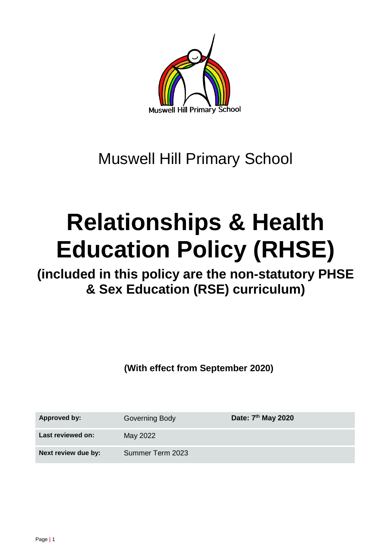

Muswell Hill Primary School

# **Relationships & Health Education Policy (RHSE)**

**(included in this policy are the non-statutory PHSE & Sex Education (RSE) curriculum)** 

**(With effect from September 2020)**

| <b>Approved by:</b> | Governing Body   | Date: 7 <sup>th</sup> May 2020 |
|---------------------|------------------|--------------------------------|
| Last reviewed on:   | May 2022         |                                |
| Next review due by: | Summer Term 2023 |                                |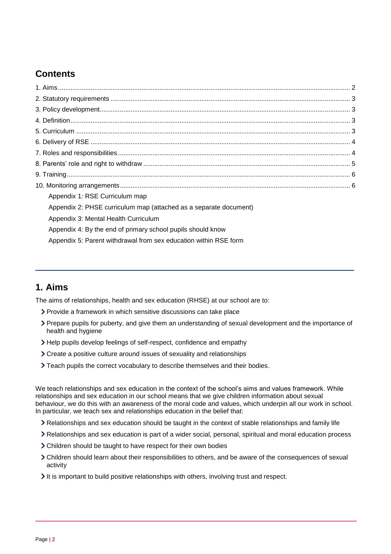# **Contents**

| Appendix 1: RSE Curriculum map |                                                                   |  |
|--------------------------------|-------------------------------------------------------------------|--|
|                                | Appendix 2: PHSE curriculum map (attached as a separate document) |  |
|                                | Appendix 3: Mental Health Curriculum                              |  |
|                                | Appendix 4: By the end of primary school pupils should know       |  |
|                                | Appendix 5: Parent withdrawal from sex education within RSE form  |  |
|                                |                                                                   |  |

## <span id="page-1-0"></span>**1. Aims**

The aims of relationships, health and sex education (RHSE) at our school are to:

- Provide a framework in which sensitive discussions can take place
- Prepare pupils for puberty, and give them an understanding of sexual development and the importance of health and hygiene
- Help pupils develop feelings of self-respect, confidence and empathy
- Create a positive culture around issues of sexuality and relationships
- Teach pupils the correct vocabulary to describe themselves and their bodies.

We teach relationships and sex education in the context of the school's aims and values framework. While relationships and sex education in our school means that we give children information about sexual behaviour, we do this with an awareness of the moral code and values, which underpin all our work in school. In particular, we teach sex and relationships education in the belief that:

- Relationships and sex education should be taught in the context of stable relationships and family life
- Relationships and sex education is part of a wider social, personal, spiritual and moral education process
- Children should be taught to have respect for their own bodies
- Children should learn about their responsibilities to others, and be aware of the consequences of sexual activity
- $\triangleright$  It is important to build positive relationships with others, involving trust and respect.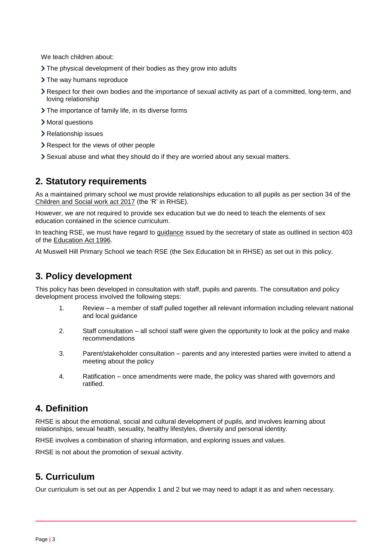We teach children about:

- The physical development of their bodies as they grow into adults
- > The way humans reproduce
- Respect for their own bodies and the importance of sexual activity as part of a committed, long-term, and loving relationship
- The importance of family life, in its diverse forms
- > Moral questions
- Relationship issues
- Respect for the views of other people
- Sexual abuse and what they should do if they are worried about any sexual matters.

## <span id="page-2-0"></span>**2. Statutory requirements**

As a maintained primary school we must provide relationships education to all pupils as per section 34 of the [Children and Social work act 2017](http://www.legislation.gov.uk/ukpga/2017/16/section/34/enacted) (the 'R' in RHSE).

However, we are not required to provide sex education but we do need to teach the elements of sex education contained in the science curriculum.

In teaching RSE, we must have regard to [guidance](https://www.gov.uk/government/consultations/relationships-and-sex-education-and-health-education) issued by the secretary of state as outlined in section 403 of the [Education Act 1996.](http://www.legislation.gov.uk/ukpga/1996/56/contents)

At Muswell Hill Primary School we teach RSE (the Sex Education bit in RHSE) as set out in this policy.

## <span id="page-2-1"></span>**3. Policy development**

This policy has been developed in consultation with staff, pupils and parents. The consultation and policy development process involved the following steps:

- 1. Review a member of staff pulled together all relevant information including relevant national and local guidance
- 2. Staff consultation all school staff were given the opportunity to look at the policy and make recommendations
- 3. Parent/stakeholder consultation parents and any interested parties were invited to attend a meeting about the policy
- 4. Ratification once amendments were made, the policy was shared with governors and ratified.

## <span id="page-2-2"></span>**4. Definition**

RHSE is about the emotional, social and cultural development of pupils, and involves learning about relationships, sexual health, sexuality, healthy lifestyles, diversity and personal identity.

RHSE involves a combination of sharing information, and exploring issues and values.

RHSE is not about the promotion of sexual activity.

## <span id="page-2-3"></span>**5. Curriculum**

Our curriculum is set out as per Appendix 1 and 2 but we may need to adapt it as and when necessary.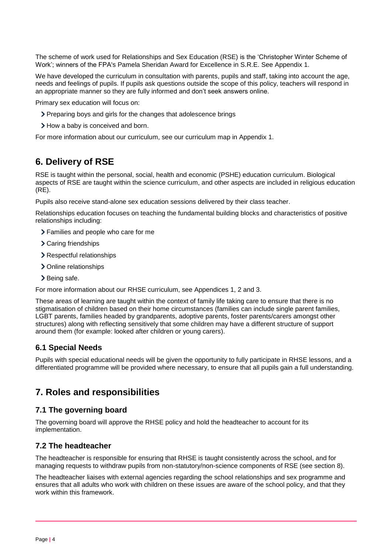The scheme of work used for Relationships and Sex Education (RSE) is the 'Christopher Winter Scheme of Work'; winners of the FPA's Pamela Sheridan Award for Excellence in S.R.E. See Appendix 1.

We have developed the curriculum in consultation with parents, pupils and staff, taking into account the age, needs and feelings of pupils. If pupils ask questions outside the scope of this policy, teachers will respond in an appropriate manner so they are fully informed and don't seek answers online.

Primary sex education will focus on:

- Preparing boys and girls for the changes that adolescence brings
- > How a baby is conceived and born.

For more information about our curriculum, see our curriculum map in Appendix 1.

## <span id="page-3-0"></span>**6. Delivery of RSE**

RSE is taught within the personal, social, health and economic (PSHE) education curriculum. Biological aspects of RSE are taught within the science curriculum, and other aspects are included in religious education (RE).

Pupils also receive stand-alone sex education sessions delivered by their class teacher.

Relationships education focuses on teaching the fundamental building blocks and characteristics of positive relationships including:

- Families and people who care for me
- > Caring friendships
- > Respectful relationships
- > Online relationships
- > Being safe.

For more information about our RHSE curriculum, see Appendices 1, 2 and 3.

These areas of learning are taught within the context of family life taking care to ensure that there is no stigmatisation of children based on their home circumstances (families can include single parent families, LGBT parents, families headed by grandparents, adoptive parents, foster parents/carers amongst other structures) along with reflecting sensitively that some children may have a different structure of support around them (for example: looked after children or young carers).

#### **6.1 Special Needs**

Pupils with special educational needs will be given the opportunity to fully participate in RHSE lessons, and a differentiated programme will be provided where necessary, to ensure that all pupils gain a full understanding.

## <span id="page-3-1"></span>**7. Roles and responsibilities**

#### **7.1 The governing board**

The governing board will approve the RHSE policy and hold the headteacher to account for its implementation.

#### **7.2 The headteacher**

The headteacher is responsible for ensuring that RHSE is taught consistently across the school, and for managing requests to withdraw pupils from non-statutory/non-science components of RSE (see section 8).

The headteacher liaises with external agencies regarding the school relationships and sex programme and ensures that all adults who work with children on these issues are aware of the school policy, and that they work within this framework.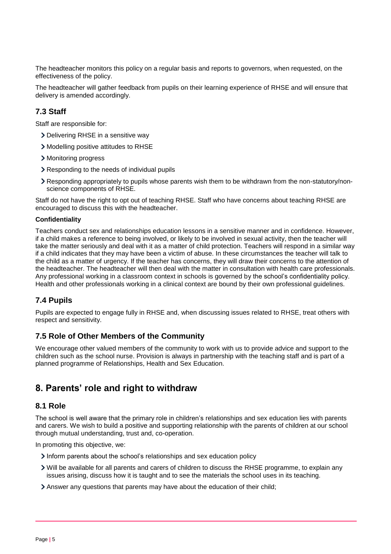The headteacher monitors this policy on a regular basis and reports to governors, when requested, on the effectiveness of the policy.

The headteacher will gather feedback from pupils on their learning experience of RHSE and will ensure that delivery is amended accordingly.

### **7.3 Staff**

Staff are responsible for:

- Delivering RHSE in a sensitive way
- Modelling positive attitudes to RHSE
- Monitoring progress
- Responding to the needs of individual pupils
- Responding appropriately to pupils whose parents wish them to be withdrawn from the non-statutory/nonscience components of RHSE.

Staff do not have the right to opt out of teaching RHSE. Staff who have concerns about teaching RHSE are encouraged to discuss this with the headteacher.

#### **Confidentiality**

Teachers conduct sex and relationships education lessons in a sensitive manner and in confidence. However, if a child makes a reference to being involved, or likely to be involved in sexual activity, then the teacher will take the matter seriously and deal with it as a matter of child protection. Teachers will respond in a similar way if a child indicates that they may have been a victim of abuse. In these circumstances the teacher will talk to the child as a matter of urgency. If the teacher has concerns, they will draw their concerns to the attention of the headteacher. The headteacher will then deal with the matter in consultation with health care professionals. Any professional working in a classroom context in schools is governed by the school's confidentiality policy. Health and other professionals working in a clinical context are bound by their own professional guidelines.

## **7.4 Pupils**

Pupils are expected to engage fully in RHSE and, when discussing issues related to RHSE, treat others with respect and sensitivity.

#### **7.5 Role of Other Members of the Community**

We encourage other valued members of the community to work with us to provide advice and support to the children such as the school nurse. Provision is always in partnership with the teaching staff and is part of a planned programme of Relationships, Health and Sex Education.

## <span id="page-4-0"></span>**8. Parents' role and right to withdraw**

#### **8.1 Role**

The school is well aware that the primary role in children's relationships and sex education lies with parents and carers. We wish to build a positive and supporting relationship with the parents of children at our school through mutual understanding, trust and, co-operation.

In promoting this objective, we:

- Inform parents about the school's relationships and sex education policy
- Will be available for all parents and carers of children to discuss the RHSE programme, to explain any issues arising, discuss how it is taught and to see the materials the school uses in its teaching.
- Answer any questions that parents may have about the education of their child;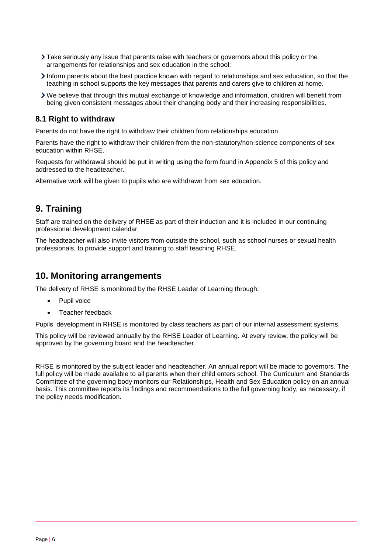- Take seriously any issue that parents raise with teachers or governors about this policy or the arrangements for relationships and sex education in the school;
- Inform parents about the best practice known with regard to relationships and sex education, so that the teaching in school supports the key messages that parents and carers give to children at home.
- We believe that through this mutual exchange of knowledge and information, children will benefit from being given consistent messages about their changing body and their increasing responsibilities.

#### **8.1 Right to withdraw**

Parents do not have the right to withdraw their children from relationships education.

Parents have the right to withdraw their children from the non-statutory/non-science components of sex education within RHSE.

Requests for withdrawal should be put in writing using the form found in Appendix 5 of this policy and addressed to the headteacher.

Alternative work will be given to pupils who are withdrawn from sex education.

## <span id="page-5-0"></span>**9. Training**

Staff are trained on the delivery of RHSE as part of their induction and it is included in our continuing professional development calendar.

The headteacher will also invite visitors from outside the school, such as school nurses or sexual health professionals, to provide support and training to staff teaching RHSE.

## <span id="page-5-1"></span>**10. Monitoring arrangements**

The delivery of RHSE is monitored by the RHSE Leader of Learning through:

- Pupil voice
- Teacher feedback

Pupils' development in RHSE is monitored by class teachers as part of our internal assessment systems.

This policy will be reviewed annually by the RHSE Leader of Learning. At every review, the policy will be approved by the governing board and the headteacher.

RHSE is monitored by the subject leader and headteacher. An annual report will be made to governors. The full policy will be made available to all parents when their child enters school. The Curriculum and Standards Committee of the governing body monitors our Relationships, Health and Sex Education policy on an annual basis. This committee reports its findings and recommendations to the full governing body, as necessary, if the policy needs modification.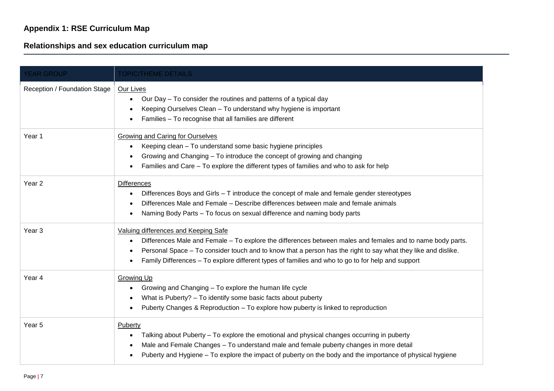# **Relationships and sex education curriculum map**

| <b>YEAR GROUP</b>            | <b>TOPIC/THEME DETAILS</b>                                                                                                                                                                                                                                                                                                                                                            |  |  |
|------------------------------|---------------------------------------------------------------------------------------------------------------------------------------------------------------------------------------------------------------------------------------------------------------------------------------------------------------------------------------------------------------------------------------|--|--|
| Reception / Foundation Stage | Our Lives<br>Our Day - To consider the routines and patterns of a typical day<br>Keeping Ourselves Clean - To understand why hygiene is important<br>Families - To recognise that all families are different                                                                                                                                                                          |  |  |
| Year 1                       | <b>Growing and Caring for Ourselves</b><br>Keeping clean - To understand some basic hygiene principles<br>٠<br>Growing and Changing - To introduce the concept of growing and changing<br>Families and Care - To explore the different types of families and who to ask for help                                                                                                      |  |  |
| Year <sub>2</sub>            | <b>Differences</b><br>Differences Boys and Girls - T introduce the concept of male and female gender stereotypes<br>Differences Male and Female - Describe differences between male and female animals<br>Naming Body Parts - To focus on sexual difference and naming body parts                                                                                                     |  |  |
| Year <sub>3</sub>            | Valuing differences and Keeping Safe<br>Differences Male and Female - To explore the differences between males and females and to name body parts.<br>$\bullet$<br>Personal Space - To consider touch and to know that a person has the right to say what they like and dislike.<br>Family Differences - To explore different types of families and who to go to for help and support |  |  |
| Year <sub>4</sub>            | <b>Growing Up</b><br>Growing and Changing - To explore the human life cycle<br>What is Puberty? - To identify some basic facts about puberty<br>Puberty Changes & Reproduction - To explore how puberty is linked to reproduction                                                                                                                                                     |  |  |
| Year <sub>5</sub>            | Puberty<br>Talking about Puberty – To explore the emotional and physical changes occurring in puberty<br>Male and Female Changes - To understand male and female puberty changes in more detail<br>Puberty and Hygiene – To explore the impact of puberty on the body and the importance of physical hygiene                                                                          |  |  |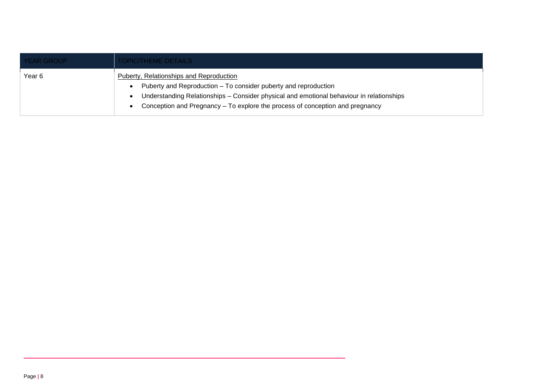| YEAR GROUP | <b>TOPIC/THEME DETAILS</b>                                                                                                                                                                                                                                                              |
|------------|-----------------------------------------------------------------------------------------------------------------------------------------------------------------------------------------------------------------------------------------------------------------------------------------|
| Year 6     | Puberty, Relationships and Reproduction<br>Puberty and Reproduction – To consider puberty and reproduction<br>Understanding Relationships - Consider physical and emotional behaviour in relationships<br>Conception and Pregnancy – To explore the process of conception and pregnancy |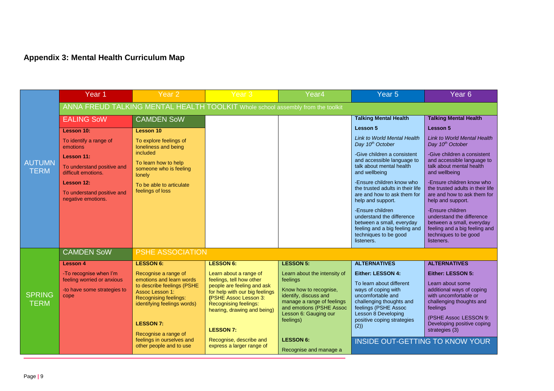# **Appendix 3: Mental Health Curriculum Map**

|                              | Year <sub>1</sub>                                                 | Year <sub>2</sub>                                                                                                                        | Year <sub>3</sub>                                                                                                                                                         | Year4                                                                                                                                          | Year <sub>5</sub>                                                                                                                                  | Year <sub>6</sub>                                                                                                                                  |
|------------------------------|-------------------------------------------------------------------|------------------------------------------------------------------------------------------------------------------------------------------|---------------------------------------------------------------------------------------------------------------------------------------------------------------------------|------------------------------------------------------------------------------------------------------------------------------------------------|----------------------------------------------------------------------------------------------------------------------------------------------------|----------------------------------------------------------------------------------------------------------------------------------------------------|
|                              |                                                                   |                                                                                                                                          | ANNA FREUD TALKING MENTAL HEALTH TOOLKIT Whole school assembly from the toolkit                                                                                           |                                                                                                                                                |                                                                                                                                                    |                                                                                                                                                    |
|                              | <b>EALING SoW</b>                                                 | <b>CAMDEN SoW</b>                                                                                                                        |                                                                                                                                                                           |                                                                                                                                                | <b>Talking Mental Health</b>                                                                                                                       | <b>Talking Mental Health</b>                                                                                                                       |
|                              | Lesson 10:                                                        | Lesson 10                                                                                                                                |                                                                                                                                                                           |                                                                                                                                                | Lesson 5                                                                                                                                           | Lesson 5                                                                                                                                           |
|                              | To identify a range of<br>emotions                                | To explore feelings of<br>loneliness and being                                                                                           |                                                                                                                                                                           |                                                                                                                                                | <b>Link to World Mental Health</b><br>Day 10 <sup>th</sup> October                                                                                 | <b>Link to World Mental Health</b><br>Day 10 <sup>th</sup> October                                                                                 |
|                              | Lesson 11:                                                        | included                                                                                                                                 |                                                                                                                                                                           |                                                                                                                                                | -Give children a consistent                                                                                                                        | -Give children a consistent                                                                                                                        |
| <b>AUTUMN</b><br><b>TERM</b> | To understand positive and<br>difficult emotions.                 | To learn how to help<br>someone who is feeling<br>lonely                                                                                 |                                                                                                                                                                           |                                                                                                                                                | and accessible language to<br>talk about mental health<br>and wellbeing                                                                            | and accessible language to<br>talk about mental health<br>and wellbeing                                                                            |
|                              | Lesson 12:                                                        | To be able to articulate                                                                                                                 |                                                                                                                                                                           |                                                                                                                                                | -Ensure children know who<br>the trusted adults in their life                                                                                      | -Ensure children know who<br>the trusted adults in their life                                                                                      |
|                              | To understand positive and<br>negative emotions.                  | feelings of loss                                                                                                                         |                                                                                                                                                                           |                                                                                                                                                | are and how to ask them for<br>help and support.                                                                                                   | are and how to ask them for<br>help and support.                                                                                                   |
|                              |                                                                   |                                                                                                                                          |                                                                                                                                                                           |                                                                                                                                                | -Ensure children<br>understand the difference<br>between a small, everyday<br>feeling and a big feeling and<br>techniques to be good<br>listeners. | -Ensure children<br>understand the difference<br>between a small, everyday<br>feeling and a big feeling and<br>techniques to be good<br>listeners. |
|                              | <b>CAMDEN SoW</b>                                                 | <b>PSHE ASSOCIATION</b>                                                                                                                  |                                                                                                                                                                           |                                                                                                                                                |                                                                                                                                                    |                                                                                                                                                    |
|                              | <b>Lesson 4</b>                                                   | <b>LESSON 6:</b>                                                                                                                         | <b>LESSON 6:</b>                                                                                                                                                          | <b>LESSON 5:</b>                                                                                                                               | <b>ALTERNATIVES</b>                                                                                                                                | <b>ALTERNATIVES</b>                                                                                                                                |
|                              | -To recognise when I'm                                            | Recognise a range of                                                                                                                     | Learn about a range of                                                                                                                                                    | Learn about the intensity of                                                                                                                   | Either: LESSON 4:                                                                                                                                  | Either: LESSON 5:                                                                                                                                  |
| <b>SPRING</b><br><b>TERM</b> | feeling worried or anxious<br>-to have some strategies to<br>cope | emotions and learn words<br>to describe feelings (PSHE<br>Assoc Lesson 1:<br><b>Recognising feelings:</b><br>identifying feelings words) | feelings, tell how other<br>people are feeling and ask<br>for help with our big feelings<br>(PSHE Assoc Lesson 3:<br>Recognising feelings:<br>hearing, drawing and being) | feelings<br>Know how to recognise,<br>identify, discuss and<br>manage a range of feelings<br>and emotions (PSHE Assoc<br>Lesson 6: Gauging our | To learn about different<br>ways of coping with<br>uncomfortable and<br>challenging thoughts and<br>feelings (PSHE Assoc<br>Lesson 8 Developing    | Learn about some<br>additional ways of coping<br>with uncomfortable or<br>challenging thoughts and<br>feelings                                     |
|                              |                                                                   | <b>LESSON 7:</b>                                                                                                                         | <b>LESSON 7:</b>                                                                                                                                                          | feelings)                                                                                                                                      | positive coping strategies<br>(2)                                                                                                                  | (PSHE Assoc LESSON 9:<br>Developing positive coping<br>strategies (3)                                                                              |
|                              |                                                                   | Recognise a range of<br>feelings in ourselves and                                                                                        | Recognise, describe and                                                                                                                                                   | <b>LESSON 6:</b>                                                                                                                               | <b>INSIDE OUT-GETTING TO KNOW YOUR</b>                                                                                                             |                                                                                                                                                    |
|                              |                                                                   | other people and to use                                                                                                                  | express a larger range of                                                                                                                                                 | Recognise and manage a                                                                                                                         |                                                                                                                                                    |                                                                                                                                                    |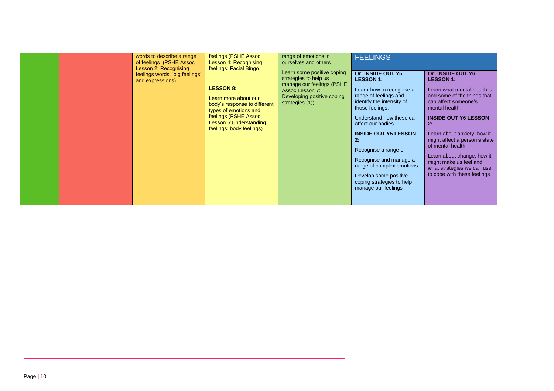| words to describe a range<br>of feelings (PSHE Assoc<br>Lesson 2: Recognising | feelings (PSHE Assoc<br>Lesson 4: Recognising<br>feelings: Facial Bingo                                                                                                          | range of emotions in<br>ourselves and others                                                                                                         | <b>FEELINGS</b>                                                                                                                                                                                                                                                                                                                                                                                     |                                                                                                                                                                                                                                                                                                                                                                                                   |
|-------------------------------------------------------------------------------|----------------------------------------------------------------------------------------------------------------------------------------------------------------------------------|------------------------------------------------------------------------------------------------------------------------------------------------------|-----------------------------------------------------------------------------------------------------------------------------------------------------------------------------------------------------------------------------------------------------------------------------------------------------------------------------------------------------------------------------------------------------|---------------------------------------------------------------------------------------------------------------------------------------------------------------------------------------------------------------------------------------------------------------------------------------------------------------------------------------------------------------------------------------------------|
| feelings words, 'big feelings'<br>and expressions)                            | <b>LESSON 8:</b><br>Learn more about our<br>body's response to different<br>types of emotions and<br>feelings (PSHE Assoc<br>Lesson 5: Understanding<br>feelings: body feelings) | Learn some positive coping<br>strategies to help us<br>manage our feelings (PSHE<br>Assoc Lesson 7:<br>Developing positive coping<br>strategies (1)) | <b>Or: INSIDE OUT Y5</b><br><b>LESSON 1:</b><br>Learn how to recognise a<br>range of feelings and<br>identify the intensity of<br>those feelings.<br>Understand how these can<br>affect our bodies<br><b>INSIDE OUT Y5 LESSON</b><br>2:<br>Recognise a range of<br>Recognise and manage a<br>range of complex emotions<br>Develop some positive<br>coping strategies to help<br>manage our feelings | <b>Or: INSIDE OUT Y6</b><br><b>LESSON 1:</b><br>Learn what mental health is<br>and some of the things that<br>can affect someone's<br>mental health<br><b>INSIDE OUT Y6 LESSON</b><br>2:<br>Learn about anxiety, how it<br>might affect a person's state<br>of mental health<br>Learn about change, how it<br>might make us feel and<br>what strategies we can use<br>to cope with these feelings |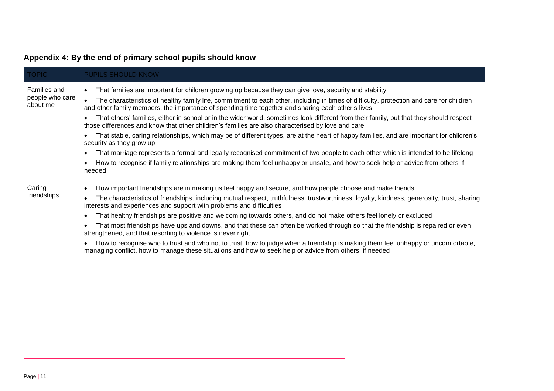| <b>TOPIC</b>                                | PUPILS SHOULD KNOW                                                                                                                                                                                                                                                                                                                                                                                                                                                                                                                                                                                                                                                                                                                                                                                                                                                                                    |
|---------------------------------------------|-------------------------------------------------------------------------------------------------------------------------------------------------------------------------------------------------------------------------------------------------------------------------------------------------------------------------------------------------------------------------------------------------------------------------------------------------------------------------------------------------------------------------------------------------------------------------------------------------------------------------------------------------------------------------------------------------------------------------------------------------------------------------------------------------------------------------------------------------------------------------------------------------------|
| Families and<br>people who care<br>about me | That families are important for children growing up because they can give love, security and stability<br>The characteristics of healthy family life, commitment to each other, including in times of difficulty, protection and care for children<br>and other family members, the importance of spending time together and sharing each other's lives<br>That others' families, either in school or in the wider world, sometimes look different from their family, but that they should respect<br>those differences and know that other children's families are also characterised by love and care                                                                                                                                                                                                                                                                                               |
|                                             | That stable, caring relationships, which may be of different types, are at the heart of happy families, and are important for children's<br>security as they grow up<br>That marriage represents a formal and legally recognised commitment of two people to each other which is intended to be lifelong<br>How to recognise if family relationships are making them feel unhappy or unsafe, and how to seek help or advice from others if<br>needed                                                                                                                                                                                                                                                                                                                                                                                                                                                  |
| Caring<br>friendships                       | How important friendships are in making us feel happy and secure, and how people choose and make friends<br>The characteristics of friendships, including mutual respect, truthfulness, trustworthiness, loyalty, kindness, generosity, trust, sharing<br>interests and experiences and support with problems and difficulties<br>That healthy friendships are positive and welcoming towards others, and do not make others feel lonely or excluded<br>That most friendships have ups and downs, and that these can often be worked through so that the friendship is repaired or even<br>strengthened, and that resorting to violence is never right<br>How to recognise who to trust and who not to trust, how to judge when a friendship is making them feel unhappy or uncomfortable,<br>managing conflict, how to manage these situations and how to seek help or advice from others, if needed |

# **Appendix 4: By the end of primary school pupils should know**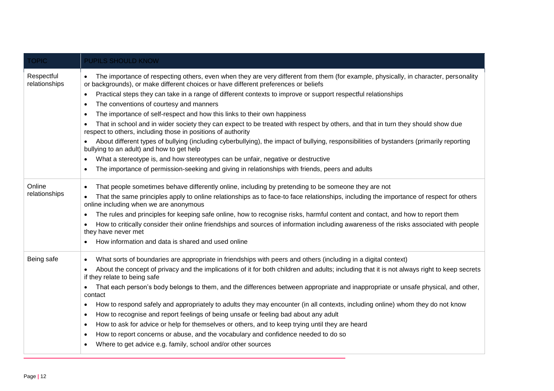| <b>TOPIC</b>                | <b>PUPILS SHOULD KNOW</b>                                                                                                                                                                                                   |
|-----------------------------|-----------------------------------------------------------------------------------------------------------------------------------------------------------------------------------------------------------------------------|
| Respectful<br>relationships | The importance of respecting others, even when they are very different from them (for example, physically, in character, personality<br>or backgrounds), or make different choices or have different preferences or beliefs |
|                             | Practical steps they can take in a range of different contexts to improve or support respectful relationships<br>$\bullet$                                                                                                  |
|                             | The conventions of courtesy and manners<br>٠                                                                                                                                                                                |
|                             | The importance of self-respect and how this links to their own happiness<br>٠                                                                                                                                               |
|                             | That in school and in wider society they can expect to be treated with respect by others, and that in turn they should show due<br>respect to others, including those in positions of authority                             |
|                             | About different types of bullying (including cyberbullying), the impact of bullying, responsibilities of bystanders (primarily reporting<br>bullying to an adult) and how to get help                                       |
|                             | What a stereotype is, and how stereotypes can be unfair, negative or destructive<br>$\bullet$                                                                                                                               |
|                             | The importance of permission-seeking and giving in relationships with friends, peers and adults<br>$\bullet$                                                                                                                |
| Online                      | That people sometimes behave differently online, including by pretending to be someone they are not<br>$\bullet$                                                                                                            |
| relationships               | That the same principles apply to online relationships as to face-to face relationships, including the importance of respect for others<br>online including when we are anonymous                                           |
|                             | The rules and principles for keeping safe online, how to recognise risks, harmful content and contact, and how to report them                                                                                               |
|                             | How to critically consider their online friendships and sources of information including awareness of the risks associated with people<br>they have never met                                                               |
|                             | How information and data is shared and used online                                                                                                                                                                          |
| Being safe                  | What sorts of boundaries are appropriate in friendships with peers and others (including in a digital context)<br>$\bullet$                                                                                                 |
|                             | About the concept of privacy and the implications of it for both children and adults; including that it is not always right to keep secrets<br>if they relate to being safe                                                 |
|                             | That each person's body belongs to them, and the differences between appropriate and inappropriate or unsafe physical, and other,<br>contact                                                                                |
|                             | How to respond safely and appropriately to adults they may encounter (in all contexts, including online) whom they do not know<br>$\bullet$                                                                                 |
|                             | How to recognise and report feelings of being unsafe or feeling bad about any adult<br>$\bullet$                                                                                                                            |
|                             | How to ask for advice or help for themselves or others, and to keep trying until they are heard<br>$\bullet$                                                                                                                |
|                             | How to report concerns or abuse, and the vocabulary and confidence needed to do so<br>$\bullet$                                                                                                                             |
|                             | Where to get advice e.g. family, school and/or other sources                                                                                                                                                                |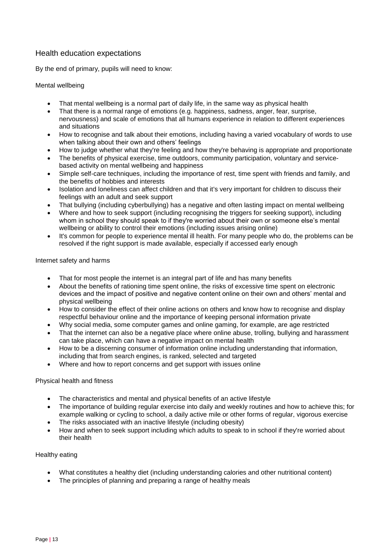#### Health education expectations

By the end of primary, pupils will need to know:

#### Mental wellbeing

- That mental wellbeing is a normal part of daily life, in the same way as physical health
- That there is a normal range of emotions (e.g. happiness, sadness, anger, fear, surprise, nervousness) and scale of emotions that all humans experience in relation to different experiences and situations
- How to recognise and talk about their emotions, including having a varied vocabulary of words to use when talking about their own and others' feelings
- How to judge whether what they're feeling and how they're behaving is appropriate and proportionate
- The benefits of physical exercise, time outdoors, community participation, voluntary and servicebased activity on mental wellbeing and happiness
- Simple self-care techniques, including the importance of rest, time spent with friends and family, and the benefits of hobbies and interests
- Isolation and loneliness can affect children and that it's very important for children to discuss their feelings with an adult and seek support
- That bullying (including cyberbullying) has a negative and often lasting impact on mental wellbeing
- Where and how to seek support (including recognising the triggers for seeking support), including whom in school they should speak to if they're worried about their own or someone else's mental wellbeing or ability to control their emotions (including issues arising online)
- It's common for people to experience mental ill health. For many people who do, the problems can be resolved if the right support is made available, especially if accessed early enough

#### Internet safety and harms

- That for most people the internet is an integral part of life and has many benefits
- About the benefits of rationing time spent online, the risks of excessive time spent on electronic devices and the impact of positive and negative content online on their own and others' mental and physical wellbeing
- How to consider the effect of their online actions on others and know how to recognise and display respectful behaviour online and the importance of keeping personal information private
- Why social media, some computer games and online gaming, for example, are age restricted
- That the internet can also be a negative place where online abuse, trolling, bullying and harassment can take place, which can have a negative impact on mental health
- How to be a discerning consumer of information online including understanding that information, including that from search engines, is ranked, selected and targeted
- Where and how to report concerns and get support with issues online

#### Physical health and fitness

- The characteristics and mental and physical benefits of an active lifestyle
- The importance of building regular exercise into daily and weekly routines and how to achieve this; for example walking or cycling to school, a daily active mile or other forms of regular, vigorous exercise
- The risks associated with an inactive lifestyle (including obesity)
- How and when to seek support including which adults to speak to in school if they're worried about their health

#### Healthy eating

- What constitutes a healthy diet (including understanding calories and other nutritional content)
- The principles of planning and preparing a range of healthy meals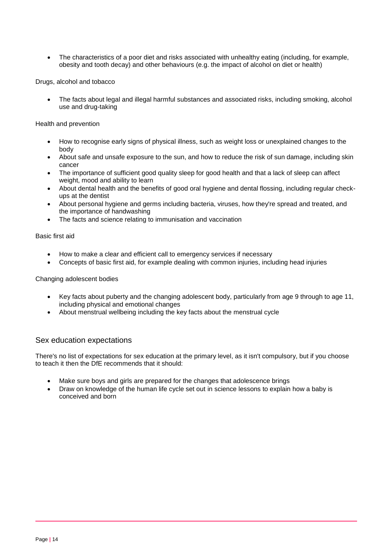The characteristics of a poor diet and risks associated with unhealthy eating (including, for example, obesity and tooth decay) and other behaviours (e.g. the impact of alcohol on diet or health)

Drugs, alcohol and tobacco

 The facts about legal and illegal harmful substances and associated risks, including smoking, alcohol use and drug-taking

Health and prevention

- How to recognise early signs of physical illness, such as weight loss or unexplained changes to the body
- About safe and unsafe exposure to the sun, and how to reduce the risk of sun damage, including skin cancer
- The importance of sufficient good quality sleep for good health and that a lack of sleep can affect weight, mood and ability to learn
- About dental health and the benefits of good oral hygiene and dental flossing, including regular checkups at the dentist
- About personal hygiene and germs including bacteria, viruses, how they're spread and treated, and the importance of handwashing
- The facts and science relating to immunisation and vaccination

Basic first aid

- How to make a clear and efficient call to emergency services if necessary
- Concepts of basic first aid, for example dealing with common injuries, including head injuries

#### Changing adolescent bodies

- Key facts about puberty and the changing adolescent body, particularly from age 9 through to age 11, including physical and emotional changes
- About menstrual wellbeing including the key facts about the menstrual cycle

#### Sex education expectations

There's no list of expectations for sex education at the primary level, as it isn't compulsory, but if you choose to teach it then the DfE recommends that it should:

- Make sure boys and girls are prepared for the changes that adolescence brings
- Draw on knowledge of the human life cycle set out in science lessons to explain how a baby is conceived and born